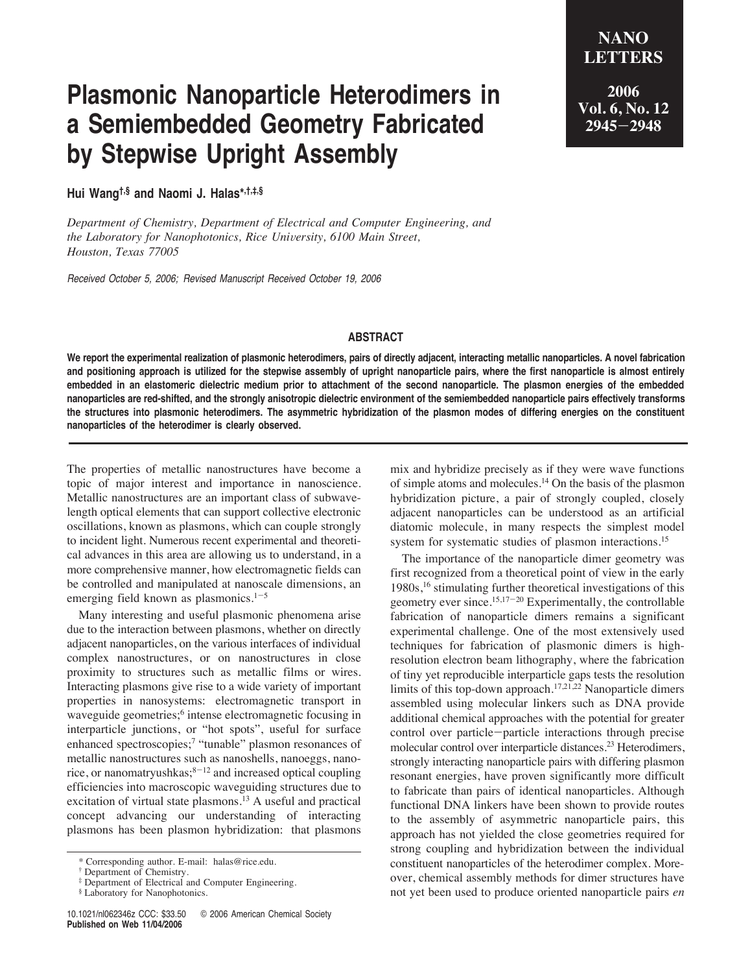**2006 Vol. 6, No. 12 2945**-**2948**

# **Plasmonic Nanoparticle Heterodimers in a Semiembedded Geometry Fabricated by Stepwise Upright Assembly**

## **Hui Wang†,§ and Naomi J. Halas\*,†,‡,§**

*Department of Chemistry, Department of Electrical and Computer Engineering, and the Laboratory for Nanophotonics, Rice University, 6100 Main Street, Houston, Texas 77005*

Received October 5, 2006; Revised Manuscript Received October 19, 2006

### **ABSTRACT**

**We report the experimental realization of plasmonic heterodimers, pairs of directly adjacent, interacting metallic nanoparticles. A novel fabrication and positioning approach is utilized for the stepwise assembly of upright nanoparticle pairs, where the first nanoparticle is almost entirely embedded in an elastomeric dielectric medium prior to attachment of the second nanoparticle. The plasmon energies of the embedded nanoparticles are red-shifted, and the strongly anisotropic dielectric environment of the semiembedded nanoparticle pairs effectively transforms the structures into plasmonic heterodimers. The asymmetric hybridization of the plasmon modes of differing energies on the constituent nanoparticles of the heterodimer is clearly observed.**

The properties of metallic nanostructures have become a topic of major interest and importance in nanoscience. Metallic nanostructures are an important class of subwavelength optical elements that can support collective electronic oscillations, known as plasmons, which can couple strongly to incident light. Numerous recent experimental and theoretical advances in this area are allowing us to understand, in a more comprehensive manner, how electromagnetic fields can be controlled and manipulated at nanoscale dimensions, an emerging field known as plasmonics. $1-5$ 

Many interesting and useful plasmonic phenomena arise due to the interaction between plasmons, whether on directly adjacent nanoparticles, on the various interfaces of individual complex nanostructures, or on nanostructures in close proximity to structures such as metallic films or wires. Interacting plasmons give rise to a wide variety of important properties in nanosystems: electromagnetic transport in waveguide geometries;<sup>6</sup> intense electromagnetic focusing in interparticle junctions, or "hot spots", useful for surface enhanced spectroscopies;<sup>7</sup> "tunable" plasmon resonances of metallic nanostructures such as nanoshells, nanoeggs, nanorice, or nanomatryushkas; $8-12$  and increased optical coupling efficiencies into macroscopic waveguiding structures due to excitation of virtual state plasmons.<sup>13</sup> A useful and practical concept advancing our understanding of interacting plasmons has been plasmon hybridization: that plasmons

mix and hybridize precisely as if they were wave functions of simple atoms and molecules.14 On the basis of the plasmon hybridization picture, a pair of strongly coupled, closely adjacent nanoparticles can be understood as an artificial diatomic molecule, in many respects the simplest model system for systematic studies of plasmon interactions.<sup>15</sup>

The importance of the nanoparticle dimer geometry was first recognized from a theoretical point of view in the early 1980s,16 stimulating further theoretical investigations of this geometry ever since.<sup>15,17-20</sup> Experimentally, the controllable fabrication of nanoparticle dimers remains a significant experimental challenge. One of the most extensively used techniques for fabrication of plasmonic dimers is highresolution electron beam lithography, where the fabrication of tiny yet reproducible interparticle gaps tests the resolution limits of this top-down approach.<sup>17,21,22</sup> Nanoparticle dimers assembled using molecular linkers such as DNA provide additional chemical approaches with the potential for greater control over particle-particle interactions through precise molecular control over interparticle distances.<sup>23</sup> Heterodimers, strongly interacting nanoparticle pairs with differing plasmon resonant energies, have proven significantly more difficult to fabricate than pairs of identical nanoparticles. Although functional DNA linkers have been shown to provide routes to the assembly of asymmetric nanoparticle pairs, this approach has not yielded the close geometries required for strong coupling and hybridization between the individual constituent nanoparticles of the heterodimer complex. Moreover, chemical assembly methods for dimer structures have not yet been used to produce oriented nanoparticle pairs *en*

<sup>\*</sup> Corresponding author. E-mail: halas@rice.edu.

<sup>†</sup> Department of Chemistry.

<sup>‡</sup> Department of Electrical and Computer Engineering.

<sup>§</sup> Laboratory for Nanophotonics.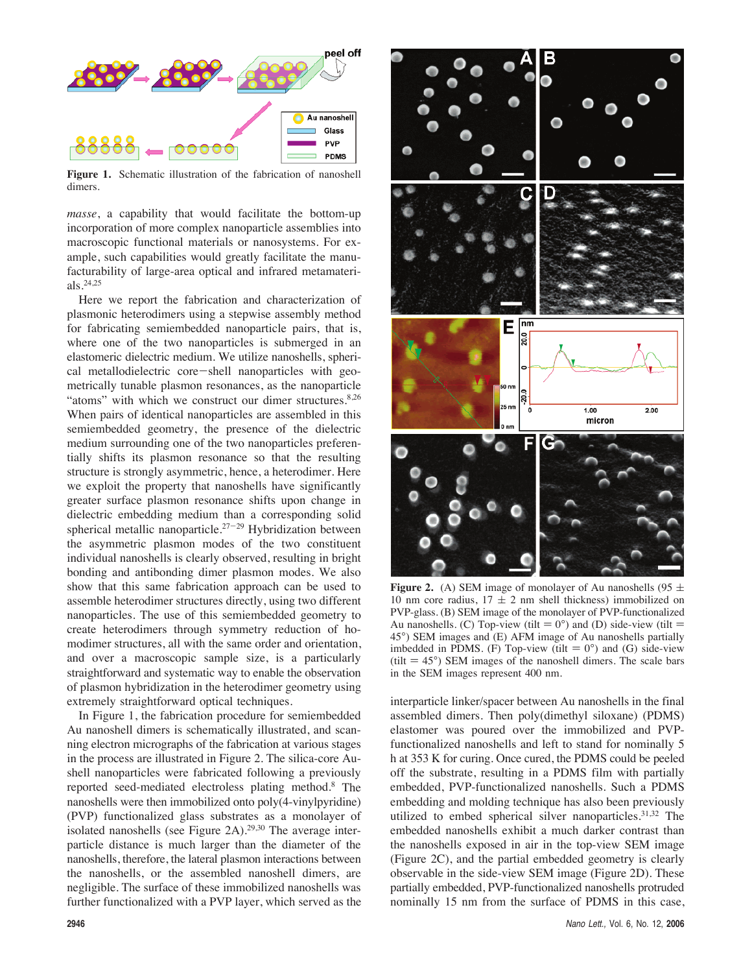

**Figure 1.** Schematic illustration of the fabrication of nanoshell dimers.

*masse*, a capability that would facilitate the bottom-up incorporation of more complex nanoparticle assemblies into macroscopic functional materials or nanosystems. For example, such capabilities would greatly facilitate the manufacturability of large-area optical and infrared metamaterials.24,25

Here we report the fabrication and characterization of plasmonic heterodimers using a stepwise assembly method for fabricating semiembedded nanoparticle pairs, that is, where one of the two nanoparticles is submerged in an elastomeric dielectric medium. We utilize nanoshells, spherical metallodielectric core-shell nanoparticles with geometrically tunable plasmon resonances, as the nanoparticle "atoms" with which we construct our dimer structures.<sup>8,26</sup> When pairs of identical nanoparticles are assembled in this semiembedded geometry, the presence of the dielectric medium surrounding one of the two nanoparticles preferentially shifts its plasmon resonance so that the resulting structure is strongly asymmetric, hence, a heterodimer. Here we exploit the property that nanoshells have significantly greater surface plasmon resonance shifts upon change in dielectric embedding medium than a corresponding solid spherical metallic nanoparticle.<sup>27-29</sup> Hybridization between the asymmetric plasmon modes of the two constituent individual nanoshells is clearly observed, resulting in bright bonding and antibonding dimer plasmon modes. We also show that this same fabrication approach can be used to assemble heterodimer structures directly, using two different nanoparticles. The use of this semiembedded geometry to create heterodimers through symmetry reduction of homodimer structures, all with the same order and orientation, and over a macroscopic sample size, is a particularly straightforward and systematic way to enable the observation of plasmon hybridization in the heterodimer geometry using extremely straightforward optical techniques.

In Figure 1, the fabrication procedure for semiembedded Au nanoshell dimers is schematically illustrated, and scanning electron micrographs of the fabrication at various stages in the process are illustrated in Figure 2. The silica-core Aushell nanoparticles were fabricated following a previously reported seed-mediated electroless plating method.8 The nanoshells were then immobilized onto poly(4-vinylpyridine) (PVP) functionalized glass substrates as a monolayer of isolated nanoshells (see Figure 2A).<sup>29,30</sup> The average interparticle distance is much larger than the diameter of the nanoshells, therefore, the lateral plasmon interactions between the nanoshells, or the assembled nanoshell dimers, are negligible. The surface of these immobilized nanoshells was further functionalized with a PVP layer, which served as the



**Figure 2.** (A) SEM image of monolayer of Au nanoshells (95  $\pm$ 10 nm core radius,  $17 \pm 2$  nm shell thickness) immobilized on PVP-glass. (B) SEM image of the monolayer of PVP-functionalized Au nanoshells. (C) Top-view (tilt  $= 0^{\circ}$ ) and (D) side-view (tilt  $=$ 45°) SEM images and (E) AFM image of Au nanoshells partially imbedded in PDMS. (F) Top-view (tilt  $= 0^{\circ}$ ) and (G) side-view (tilt  $= 45^{\circ}$ ) SEM images of the nanoshell dimers. The scale bars in the SEM images represent 400 nm.

interparticle linker/spacer between Au nanoshells in the final assembled dimers. Then poly(dimethyl siloxane) (PDMS) elastomer was poured over the immobilized and PVPfunctionalized nanoshells and left to stand for nominally 5 h at 353 K for curing. Once cured, the PDMS could be peeled off the substrate, resulting in a PDMS film with partially embedded, PVP-functionalized nanoshells. Such a PDMS embedding and molding technique has also been previously utilized to embed spherical silver nanoparticles.<sup>31,32</sup> The embedded nanoshells exhibit a much darker contrast than the nanoshells exposed in air in the top-view SEM image (Figure 2C), and the partial embedded geometry is clearly observable in the side-view SEM image (Figure 2D). These partially embedded, PVP-functionalized nanoshells protruded nominally 15 nm from the surface of PDMS in this case,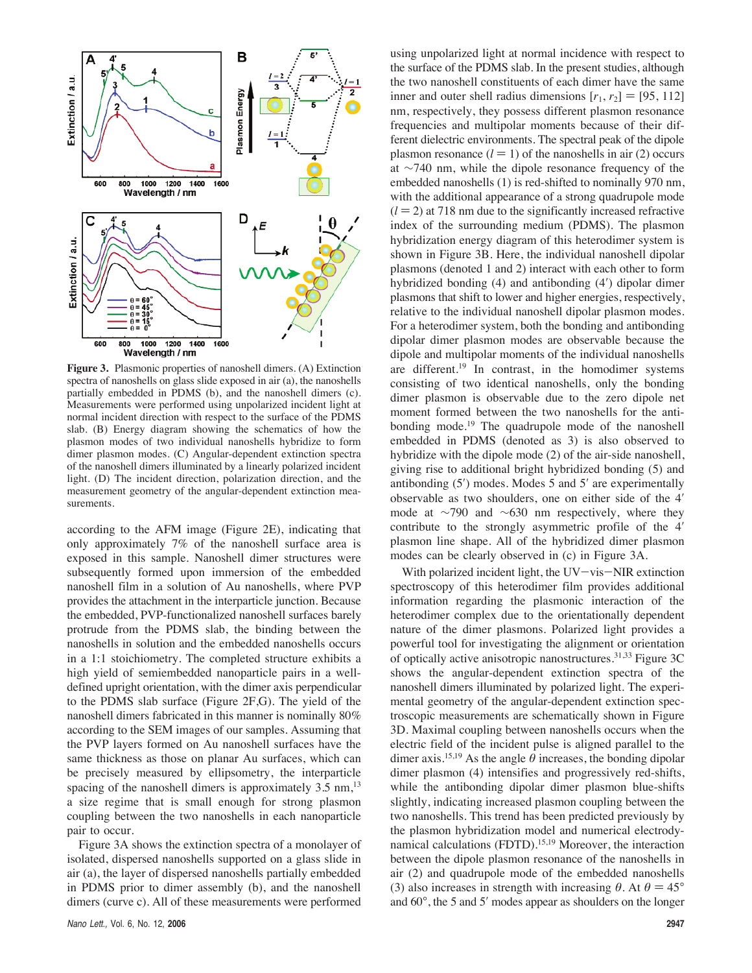

**Figure 3.** Plasmonic properties of nanoshell dimers. (A) Extinction spectra of nanoshells on glass slide exposed in air (a), the nanoshells partially embedded in PDMS (b), and the nanoshell dimers (c). Measurements were performed using unpolarized incident light at normal incident direction with respect to the surface of the PDMS slab. (B) Energy diagram showing the schematics of how the plasmon modes of two individual nanoshells hybridize to form dimer plasmon modes. (C) Angular-dependent extinction spectra of the nanoshell dimers illuminated by a linearly polarized incident light. (D) The incident direction, polarization direction, and the measurement geometry of the angular-dependent extinction measurements.

according to the AFM image (Figure 2E), indicating that only approximately 7% of the nanoshell surface area is exposed in this sample. Nanoshell dimer structures were subsequently formed upon immersion of the embedded nanoshell film in a solution of Au nanoshells, where PVP provides the attachment in the interparticle junction. Because the embedded, PVP-functionalized nanoshell surfaces barely protrude from the PDMS slab, the binding between the nanoshells in solution and the embedded nanoshells occurs in a 1:1 stoichiometry. The completed structure exhibits a high yield of semiembedded nanoparticle pairs in a welldefined upright orientation, with the dimer axis perpendicular to the PDMS slab surface (Figure 2F,G). The yield of the nanoshell dimers fabricated in this manner is nominally 80% according to the SEM images of our samples. Assuming that the PVP layers formed on Au nanoshell surfaces have the same thickness as those on planar Au surfaces, which can be precisely measured by ellipsometry, the interparticle spacing of the nanoshell dimers is approximately  $3.5 \text{ nm}$ ,<sup>13</sup> a size regime that is small enough for strong plasmon coupling between the two nanoshells in each nanoparticle pair to occur.

Figure 3A shows the extinction spectra of a monolayer of isolated, dispersed nanoshells supported on a glass slide in air (a), the layer of dispersed nanoshells partially embedded in PDMS prior to dimer assembly (b), and the nanoshell dimers (curve c). All of these measurements were performed

using unpolarized light at normal incidence with respect to the surface of the PDMS slab. In the present studies, although the two nanoshell constituents of each dimer have the same inner and outer shell radius dimensions  $[r_1, r_2] = [95, 112]$ nm, respectively, they possess different plasmon resonance frequencies and multipolar moments because of their different dielectric environments. The spectral peak of the dipole plasmon resonance  $(l = 1)$  of the nanoshells in air (2) occurs at ∼740 nm, while the dipole resonance frequency of the embedded nanoshells (1) is red-shifted to nominally 970 nm, with the additional appearance of a strong quadrupole mode  $(l = 2)$  at 718 nm due to the significantly increased refractive index of the surrounding medium (PDMS). The plasmon hybridization energy diagram of this heterodimer system is shown in Figure 3B. Here, the individual nanoshell dipolar plasmons (denoted 1 and 2) interact with each other to form hybridized bonding (4) and antibonding (4ʹ) dipolar dimer plasmons that shift to lower and higher energies, respectively, relative to the individual nanoshell dipolar plasmon modes. For a heterodimer system, both the bonding and antibonding dipolar dimer plasmon modes are observable because the dipole and multipolar moments of the individual nanoshells are different.19 In contrast, in the homodimer systems consisting of two identical nanoshells, only the bonding dimer plasmon is observable due to the zero dipole net moment formed between the two nanoshells for the antibonding mode.19 The quadrupole mode of the nanoshell embedded in PDMS (denoted as 3) is also observed to hybridize with the dipole mode (2) of the air-side nanoshell, giving rise to additional bright hybridized bonding (5) and antibonding (5ʹ) modes. Modes 5 and 5ʹ are experimentally observable as two shoulders, one on either side of the 4ʹ mode at ∼790 and ∼630 nm respectively, where they contribute to the strongly asymmetric profile of the 4ʹ plasmon line shape. All of the hybridized dimer plasmon modes can be clearly observed in (c) in Figure 3A.

With polarized incident light, the  $UV-vis-NIR$  extinction spectroscopy of this heterodimer film provides additional information regarding the plasmonic interaction of the heterodimer complex due to the orientationally dependent nature of the dimer plasmons. Polarized light provides a powerful tool for investigating the alignment or orientation of optically active anisotropic nanostructures.<sup>31,33</sup> Figure 3C shows the angular-dependent extinction spectra of the nanoshell dimers illuminated by polarized light. The experimental geometry of the angular-dependent extinction spectroscopic measurements are schematically shown in Figure 3D. Maximal coupling between nanoshells occurs when the electric field of the incident pulse is aligned parallel to the dimer axis.<sup>15,19</sup> As the angle  $\theta$  increases, the bonding dipolar dimer plasmon (4) intensifies and progressively red-shifts, while the antibonding dipolar dimer plasmon blue-shifts slightly, indicating increased plasmon coupling between the two nanoshells. This trend has been predicted previously by the plasmon hybridization model and numerical electrodynamical calculations (FDTD).15,19 Moreover, the interaction between the dipole plasmon resonance of the nanoshells in air (2) and quadrupole mode of the embedded nanoshells (3) also increases in strength with increasing  $\theta$ . At  $\theta = 45^{\circ}$ and 60°, the 5 and 5ʹ modes appear as shoulders on the longer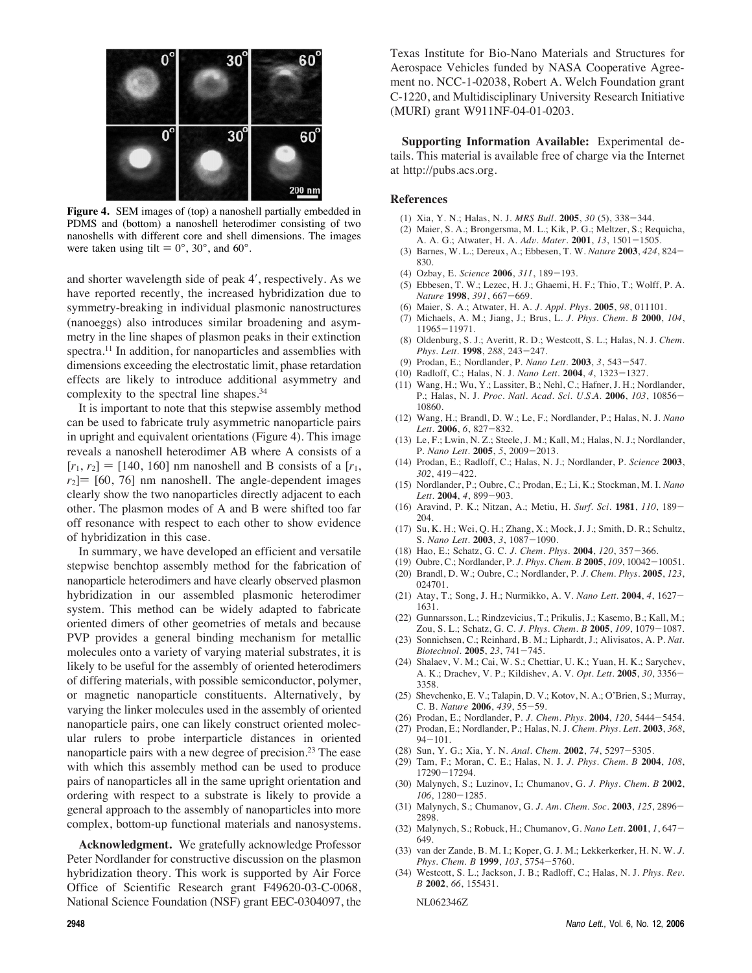

**Figure 4.** SEM images of (top) a nanoshell partially embedded in PDMS and (bottom) a nanoshell heterodimer consisting of two nanoshells with different core and shell dimensions. The images were taken using tilt  $= 0^{\circ}$ , 30°, and 60°.

and shorter wavelength side of peak 4ʹ, respectively. As we have reported recently, the increased hybridization due to symmetry-breaking in individual plasmonic nanostructures (nanoeggs) also introduces similar broadening and asymmetry in the line shapes of plasmon peaks in their extinction spectra.<sup>11</sup> In addition, for nanoparticles and assemblies with dimensions exceeding the electrostatic limit, phase retardation effects are likely to introduce additional asymmetry and complexity to the spectral line shapes.34

It is important to note that this stepwise assembly method can be used to fabricate truly asymmetric nanoparticle pairs in upright and equivalent orientations (Figure 4). This image reveals a nanoshell heterodimer AB where A consists of a  $[r_1, r_2] = [140, 160]$  nm nanoshell and B consists of a  $[r_1, r_2]$  $r_2$ ] = [60, 76] nm nanoshell. The angle-dependent images clearly show the two nanoparticles directly adjacent to each other. The plasmon modes of A and B were shifted too far off resonance with respect to each other to show evidence of hybridization in this case.

In summary, we have developed an efficient and versatile stepwise benchtop assembly method for the fabrication of nanoparticle heterodimers and have clearly observed plasmon hybridization in our assembled plasmonic heterodimer system. This method can be widely adapted to fabricate oriented dimers of other geometries of metals and because PVP provides a general binding mechanism for metallic molecules onto a variety of varying material substrates, it is likely to be useful for the assembly of oriented heterodimers of differing materials, with possible semiconductor, polymer, or magnetic nanoparticle constituents. Alternatively, by varying the linker molecules used in the assembly of oriented nanoparticle pairs, one can likely construct oriented molecular rulers to probe interparticle distances in oriented nanoparticle pairs with a new degree of precision.<sup>23</sup> The ease with which this assembly method can be used to produce pairs of nanoparticles all in the same upright orientation and ordering with respect to a substrate is likely to provide a general approach to the assembly of nanoparticles into more complex, bottom-up functional materials and nanosystems.

**Acknowledgment.** We gratefully acknowledge Professor Peter Nordlander for constructive discussion on the plasmon hybridization theory. This work is supported by Air Force Office of Scientific Research grant F49620-03-C-0068, National Science Foundation (NSF) grant EEC-0304097, the Texas Institute for Bio-Nano Materials and Structures for Aerospace Vehicles funded by NASA Cooperative Agreement no. NCC-1-02038, Robert A. Welch Foundation grant C-1220, and Multidisciplinary University Research Initiative (MURI) grant W911NF-04-01-0203.

**Supporting Information Available:** Experimental details. This material is available free of charge via the Internet at http://pubs.acs.org.

#### **References**

- (1) Xia, Y. N.; Halas, N. J. *MRS Bull.* **2005**, *30* (5), 338-344.
- (2) Maier, S. A.; Brongersma, M. L.; Kik, P. G.; Meltzer, S.; Requicha, A. A. G.; Atwater, H. A. *Ad*V*. Mater.* **2001**, *13*, 1501-1505.
- (3) Barnes, W. L.; Dereux, A.; Ebbesen, T. W. *Nature* **2003**, *424*, 824- 830.
- (4) Ozbay, E. *Science* **2006**, *311*, 189-193.
- (5) Ebbesen, T. W.; Lezec, H. J.; Ghaemi, H. F.; Thio, T.; Wolff, P. A. *Nature* **1998**, *391*, 667-669.
- (6) Maier, S. A.; Atwater, H. A. *J. Appl. Phys.* **2005**, *98*, 011101.
- (7) Michaels, A. M.; Jiang, J.; Brus, L. *J. Phys. Chem. B* **2000**, *104*, 11965-11971.
- (8) Oldenburg, S. J.; Averitt, R. D.; Westcott, S. L.; Halas, N. J. *Chem. Phys. Lett.* **1998**, *288*, 243-247.
- (9) Prodan, E.; Nordlander, P. *Nano Lett.* **2003**, *3*, 543-547.
- (10) Radloff, C.; Halas, N. J. *Nano Lett.* **2004**, *4*, 1323-1327.
- (11) Wang, H.; Wu, Y.; Lassiter, B.; Nehl, C.; Hafner, J. H.; Nordlander, P.; Halas, N. J. *Proc. Natl. Acad. Sci. U.S.A.* **2006**, *103*, 10856- 10860.
- (12) Wang, H.; Brandl, D. W.; Le, F.; Nordlander, P.; Halas, N. J. *Nano Lett.* **2006**, *6*, 827-832.
- (13) Le, F.; Lwin, N. Z.; Steele, J. M.; Kall, M.; Halas, N. J.; Nordlander, P. *Nano Lett.* **2005**, *5*, 2009-2013.
- (14) Prodan, E.; Radloff, C.; Halas, N. J.; Nordlander, P. *Science* **2003**, *302*, 419-422.
- (15) Nordlander, P.; Oubre, C.; Prodan, E.; Li, K.; Stockman, M. I. *Nano Lett.* **2004**, *4*, 899-903.
- (16) Aravind, P. K.; Nitzan, A.; Metiu, H. *Surf. Sci.* **1981**, *110*, 189- 204.
- (17) Su, K. H.; Wei, Q. H.; Zhang, X.; Mock, J. J.; Smith, D. R.; Schultz, S. *Nano Lett.* **2003**, *3*, 1087-1090.
- (18) Hao, E.; Schatz, G. C. *J. Chem. Phys.* **2004**, *120*, 357-366.
- (19) Oubre, C.; Nordlander, P. *J. Phys. Chem. B* **2005**, *109*, 10042-10051.
- (20) Brandl, D. W.; Oubre, C.; Nordlander, P. *J. Chem. Phys.* **2005**, *123*, 024701.
- (21) Atay, T.; Song, J. H.; Nurmikko, A. V. *Nano Lett.* **2004**, *4*, 1627- 1631.
- (22) Gunnarsson, L.; Rindzevicius, T.; Prikulis, J.; Kasemo, B.; Kall, M.; Zou, S. L.; Schatz, G. C. *J. Phys. Chem. B* **2005**, *109*, 1079-1087.
- (23) Sonnichsen, C.; Reinhard, B. M.; Liphardt, J.; Alivisatos, A. P. *Nat. Biotechnol.* **2005**, *23*, 741-745.
- (24) Shalaev, V. M.; Cai, W. S.; Chettiar, U. K.; Yuan, H. K.; Sarychev, A. K.; Drachev, V. P.; Kildishev, A. V. *Opt. Lett.* **2005**, *30*, 3356- 3358.
- (25) Shevchenko, E. V.; Talapin, D. V.; Kotov, N. A.; O'Brien, S.; Murray, C. B. *Nature* **2006**, *439*, 55-59.
- (26) Prodan, E.; Nordlander, P. *J. Chem. Phys.* **2004**, *120*, 5444-5454.
- (27) Prodan, E.; Nordlander, P.; Halas, N. J. *Chem. Phys. Lett.* **2003**, *368*,  $94 - 101.$
- (28) Sun, Y. G.; Xia, Y. N. *Anal. Chem.* **2002**, *74*, 5297-5305.
- (29) Tam, F.; Moran, C. E.; Halas, N. J. *J. Phys. Chem. B* **2004**, *108*, 17290-17294.
- (30) Malynych, S.; Luzinov, I.; Chumanov, G. *J. Phys. Chem. B* **2002**, *106*, 1280-1285.
- (31) Malynych, S.; Chumanov, G. *J. Am. Chem. Soc.* **2003**, *125*, 2896- 2898.
- (32) Malynych, S.; Robuck, H.; Chumanov, G. *Nano Lett.* **2001**, *1*, 647- 649.
- (33) van der Zande, B. M. I.; Koper, G. J. M.; Lekkerkerker, H. N. W. *J. Phys. Chem. B* **1999**, *103*, 5754-5760.
- (34) Westcott, S. L.; Jackson, J. B.; Radloff, C.; Halas, N. J. *Phys. Re*V*. B* **2002**, *66*, 155431.

NL062346Z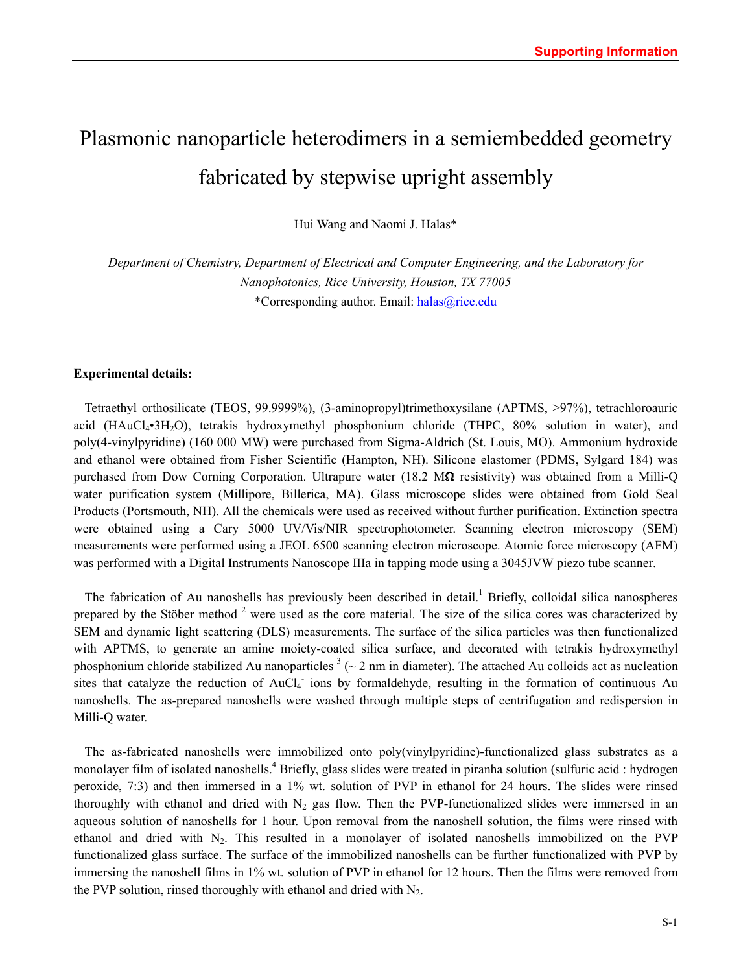# Plasmonic nanoparticle heterodimers in a semiembedded geometry fabricated by stepwise upright assembly

Hui Wang and Naomi J. Halas\*

*Department of Chemistry, Department of Electrical and Computer Engineering, and the Laboratory for Nanophotonics, Rice University, Houston, TX 77005*  \*Corresponding author. Email: [halas@rice.edu](mailto:halas@rice.edu)

### **Experimental details:**

Tetraethyl orthosilicate (TEOS, 99.9999%), (3-aminopropyl)trimethoxysilane (APTMS, >97%), tetrachloroauric acid (HAuCl4•3H2O), tetrakis hydroxymethyl phosphonium chloride (THPC, 80% solution in water), and poly(4-vinylpyridine) (160 000 MW) were purchased from Sigma-Aldrich (St. Louis, MO). Ammonium hydroxide and ethanol were obtained from Fisher Scientific (Hampton, NH). Silicone elastomer (PDMS, Sylgard 184) was purchased from Dow Corning Corporation. Ultrapure water (18.2 MQ resistivity) was obtained from a Milli-Q water purification system (Millipore, Billerica, MA). Glass microscope slides were obtained from Gold Seal Products (Portsmouth, NH). All the chemicals were used as received without further purification. Extinction spectra were obtained using a Cary 5000 UV/Vis/NIR spectrophotometer. Scanning electron microscopy (SEM) measurements were performed using a JEOL 6500 scanning electron microscope. Atomic force microscopy (AFM) was performed with a Digital Instruments Nanoscope IIIa in tapping mode using a 3045JVW piezo tube scanner.

The fabrication of Au nanoshells has previously been described in detail.<sup>1</sup> Briefly, colloidal silica nanospheres prepared by the Stöber method  $2$  were used as the core material. The size of the silica cores was characterized by SEM and dynamic light scattering (DLS) measurements. The surface of the silica particles was then functionalized with APTMS, to generate an amine moiety-coated silica surface, and decorated with tetrakis hydroxymethyl phosphonium chloride stabilized Au nanoparticles  $3 \sim 2$  nm in diameter). The attached Au colloids act as nucleation sites that catalyze the reduction of AuCl<sub>4</sub> ions by formaldehyde, resulting in the formation of continuous Au nanoshells. The as-prepared nanoshells were washed through multiple steps of centrifugation and redispersion in Milli-Q water.

The as-fabricated nanoshells were immobilized onto poly(vinylpyridine)-functionalized glass substrates as a monolayer film of isolated nanoshells.<sup>4</sup> Briefly, glass slides were treated in piranha solution (sulfuric acid : hydrogen peroxide, 7:3) and then immersed in a 1% wt. solution of PVP in ethanol for 24 hours. The slides were rinsed thoroughly with ethanol and dried with  $N_2$  gas flow. Then the PVP-functionalized slides were immersed in an aqueous solution of nanoshells for 1 hour. Upon removal from the nanoshell solution, the films were rinsed with ethanol and dried with  $N_2$ . This resulted in a monolayer of isolated nanoshells immobilized on the PVP functionalized glass surface. The surface of the immobilized nanoshells can be further functionalized with PVP by immersing the nanoshell films in 1% wt. solution of PVP in ethanol for 12 hours. Then the films were removed from the PVP solution, rinsed thoroughly with ethanol and dried with  $N_2$ .